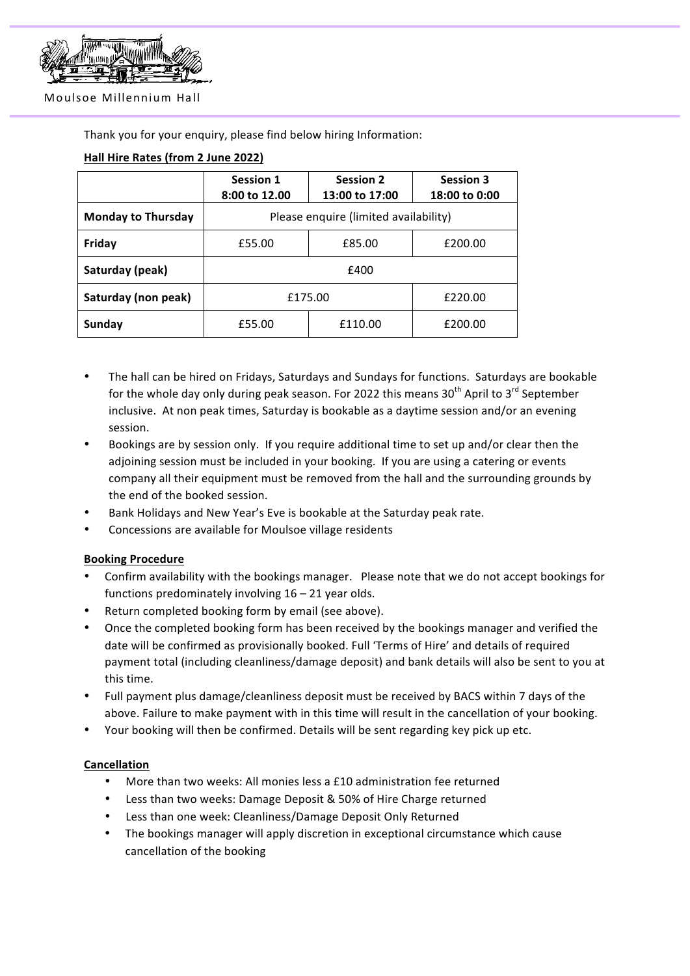

#### Moulsoe Millennium Hall

Thank you for your enquiry, please find below hiring Information:

# **Hall Hire Rates (from 2 June 2022)**

|                           | <b>Session 1</b><br>8:00 to 12.00     | <b>Session 2</b><br>13:00 to 17:00 | <b>Session 3</b><br>18:00 to 0:00 |
|---------------------------|---------------------------------------|------------------------------------|-----------------------------------|
| <b>Monday to Thursday</b> | Please enquire (limited availability) |                                    |                                   |
| Friday                    | £55.00                                | £85.00                             | £200.00                           |
| Saturday (peak)           | £400                                  |                                    |                                   |
| Saturday (non peak)       | £175.00                               |                                    | £220.00                           |
| <b>Sunday</b>             | £55.00                                | £110.00                            | £200.00                           |

- The hall can be hired on Fridays, Saturdays and Sundays for functions. Saturdays are bookable for the whole day only during peak season. For 2022 this means  $30<sup>th</sup>$  April to  $3<sup>rd</sup>$  September inclusive. At non peak times, Saturday is bookable as a daytime session and/or an evening session.
- Bookings are by session only. If you require additional time to set up and/or clear then the adjoining session must be included in your booking. If you are using a catering or events company all their equipment must be removed from the hall and the surrounding grounds by the end of the booked session.
- Bank Holidays and New Year's Eve is bookable at the Saturday peak rate.
- Concessions are available for Moulsoe village residents

# **Booking Procedure**

- Confirm availability with the bookings manager. Please note that we do not accept bookings for functions predominately involving  $16 - 21$  year olds.
- Return completed booking form by email (see above).
- Once the completed booking form has been received by the bookings manager and verified the date will be confirmed as provisionally booked. Full 'Terms of Hire' and details of required payment total (including cleanliness/damage deposit) and bank details will also be sent to you at this time.
- Full payment plus damage/cleanliness deposit must be received by BACS within 7 days of the above. Failure to make payment with in this time will result in the cancellation of your booking.
- Your booking will then be confirmed. Details will be sent regarding key pick up etc.

# **Cancellation**

- More than two weeks: All monies less a  $£10$  administration fee returned
- Less than two weeks: Damage Deposit & 50% of Hire Charge returned
- Less than one week: Cleanliness/Damage Deposit Only Returned
- The bookings manager will apply discretion in exceptional circumstance which cause cancellation of the booking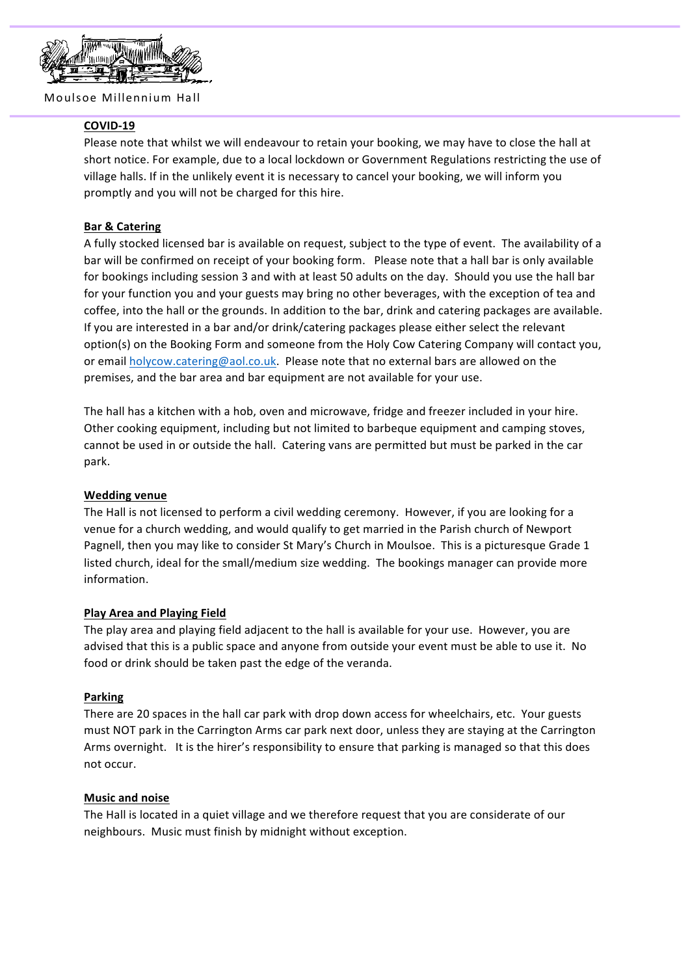

Moulsoe Millennium Hall

### **COVID-19**

Please note that whilst we will endeavour to retain your booking, we may have to close the hall at short notice. For example, due to a local lockdown or Government Regulations restricting the use of village halls. If in the unlikely event it is necessary to cancel your booking, we will inform you promptly and you will not be charged for this hire.

### **Bar & Catering**

A fully stocked licensed bar is available on request, subject to the type of event. The availability of a bar will be confirmed on receipt of your booking form. Please note that a hall bar is only available for bookings including session 3 and with at least 50 adults on the day. Should you use the hall bar for your function you and your guests may bring no other beverages, with the exception of tea and coffee, into the hall or the grounds. In addition to the bar, drink and catering packages are available. If you are interested in a bar and/or drink/catering packages please either select the relevant option(s) on the Booking Form and someone from the Holy Cow Catering Company will contact you, or email holycow.catering@aol.co.uk. Please note that no external bars are allowed on the premises, and the bar area and bar equipment are not available for your use.

The hall has a kitchen with a hob, oven and microwave, fridge and freezer included in your hire. Other cooking equipment, including but not limited to barbeque equipment and camping stoves, cannot be used in or outside the hall. Catering vans are permitted but must be parked in the car park.

#### **Wedding venue**

The Hall is not licensed to perform a civil wedding ceremony. However, if you are looking for a venue for a church wedding, and would qualify to get married in the Parish church of Newport Pagnell, then you may like to consider St Mary's Church in Moulsoe. This is a picturesque Grade 1 listed church, ideal for the small/medium size wedding. The bookings manager can provide more information.

#### **Play Area and Playing Field**

The play area and playing field adjacent to the hall is available for your use. However, you are advised that this is a public space and anyone from outside your event must be able to use it. No food or drink should be taken past the edge of the veranda.

#### **Parking**

There are 20 spaces in the hall car park with drop down access for wheelchairs, etc. Your guests must NOT park in the Carrington Arms car park next door, unless they are staying at the Carrington Arms overnight. It is the hirer's responsibility to ensure that parking is managed so that this does not occur.

#### **Music and noise**

The Hall is located in a quiet village and we therefore request that you are considerate of our neighbours. Music must finish by midnight without exception.